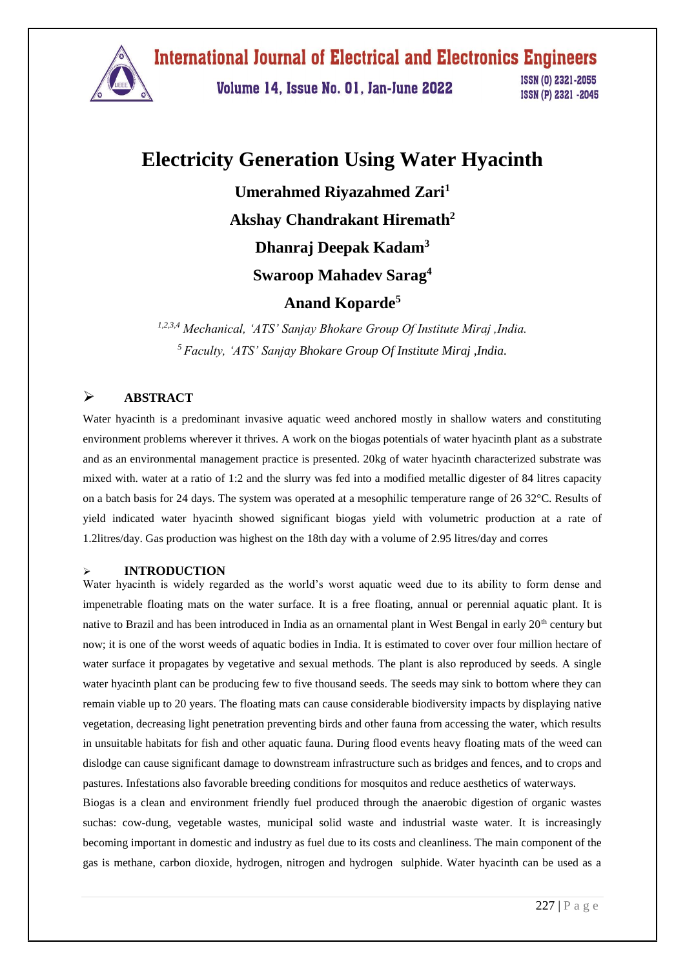

Volume 14, Issue No. 01, Jan-June 2022

ISSN (0) 2321-2055 ISSN (P) 2321 -2045

# **Electricity Generation Using Water Hyacinth**

**Umerahmed Riyazahmed Zari<sup>1</sup> Akshay Chandrakant Hiremath<sup>2</sup> Dhanraj Deepak Kadam<sup>3</sup> Swaroop Mahadev Sarag 4**

## **Anand Koparde<sup>5</sup>**

*1,2,3,4 Mechanical, 'ATS' Sanjay Bhokare Group Of Institute Miraj ,India. <sup>5</sup>Faculty, 'ATS' Sanjay Bhokare Group Of Institute Miraj ,India.*

## **ABSTRACT**

Water hyacinth is a predominant invasive aquatic weed anchored mostly in shallow waters and constituting environment problems wherever it thrives. A work on the biogas potentials of water hyacinth plant as a substrate and as an environmental management practice is presented. 20kg of water hyacinth characterized substrate was mixed with. water at a ratio of 1:2 and the slurry was fed into a modified metallic digester of 84 litres capacity on a batch basis for 24 days. The system was operated at a mesophilic temperature range of 26 32°C. Results of yield indicated water hyacinth showed significant biogas yield with volumetric production at a rate of 1.2litres/day. Gas production was highest on the 18th day with a volume of 2.95 litres/day and corres

### **INTRODUCTION**

Water hyacinth is widely regarded as the world's worst aquatic weed due to its ability to form dense and impenetrable floating mats on the water surface. It is a free floating, annual or perennial aquatic plant. It is native to Brazil and has been introduced in India as an ornamental plant in West Bengal in early  $20<sup>th</sup>$  century but now; it is one of the worst weeds of aquatic bodies in India. It is estimated to cover over four million hectare of water surface it propagates by vegetative and sexual methods. The plant is also reproduced by seeds. A single water hyacinth plant can be producing few to five thousand seeds. The seeds may sink to bottom where they can remain viable up to 20 years. The floating mats can cause considerable biodiversity impacts by displaying native vegetation, decreasing light penetration preventing birds and other fauna from accessing the water, which results in unsuitable habitats for fish and other aquatic fauna. During flood events heavy floating mats of the weed can dislodge can cause significant damage to downstream infrastructure such as bridges and fences, and to crops and pastures. Infestations also favorable breeding conditions for mosquitos and reduce aesthetics of waterways.

Biogas is a clean and environment friendly fuel produced through the anaerobic digestion of organic wastes suchas: cow-dung, vegetable wastes, municipal solid waste and industrial waste water. It is increasingly becoming important in domestic and industry as fuel due to its costs and cleanliness. The main component of the gas is methane, carbon dioxide, hydrogen, nitrogen and hydrogen sulphide. Water hyacinth can be used as a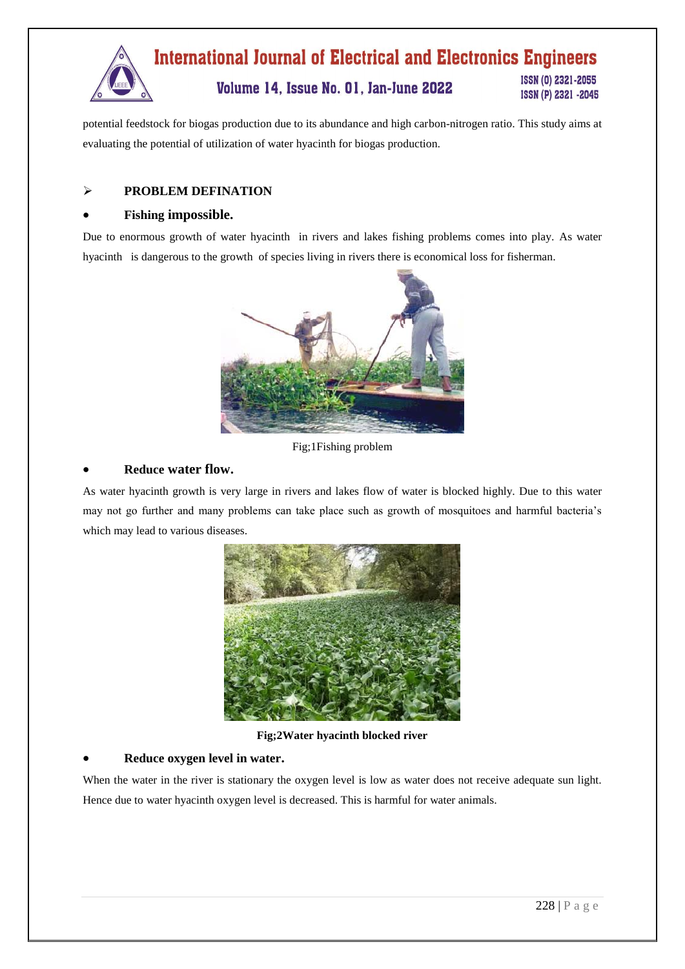

potential feedstock for biogas production due to its abundance and high carbon-nitrogen ratio. This study aims at evaluating the potential of utilization of water hyacinth for biogas production.

### **PROBLEM DEFINATION**

### **Fishing impossible.**

Due to enormous growth of water hyacinth in rivers and lakes fishing problems comes into play. As water hyacinth is dangerous to the growth of species living in rivers there is economical loss for fisherman.



Fig;1Fishing problem

#### **Reduce water flow.**

As water hyacinth growth is very large in rivers and lakes flow of water is blocked highly. Due to this water may not go further and many problems can take place such as growth of mosquitoes and harmful bacteria's which may lead to various diseases.



**Fig;2Water hyacinth blocked river**

### **Reduce oxygen level in water.**

When the water in the river is stationary the oxygen level is low as water does not receive adequate sun light. Hence due to water hyacinth oxygen level is decreased. This is harmful for water animals.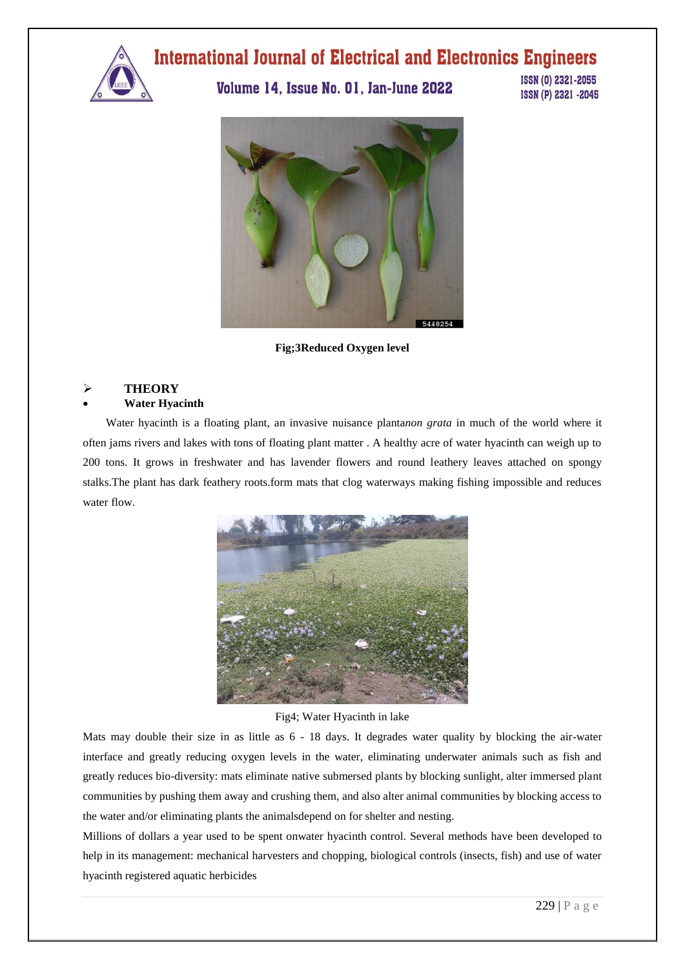

## Volume 14, Issue No. 01, Jan-June 2022

ISSN (0) 2321-2055 ISSN (P) 2321 -2045



**Fig;3Reduced Oxygen level**

### **THEORY**

### **Water Hyacinth**

 Water hyacinth is a floating plant, an invasive nuisance planta*non grata* in much of the world where it often jams rivers and lakes with tons of floating plant matter . A healthy acre of water hyacinth can weigh up to 200 tons. It grows in freshwater and has lavender flowers and round leathery leaves attached on spongy stalks.The plant has dark feathery roots.form mats that clog waterways making fishing impossible and reduces water flow.



### Fig4; Water Hyacinth in lake

Mats may double their size in as little as  $6 - 18$  days. It degrades water quality by blocking the air-water interface and greatly reducing oxygen levels in the water, eliminating underwater animals such as fish and greatly reduces bio-diversity: mats eliminate native submersed plants by blocking sunlight, alter immersed plant communities by pushing them away and crushing them, and also alter animal communities by blocking access to the water and/or eliminating plants the animalsdepend on for shelter and nesting.

Millions of dollars a year used to be spent onwater hyacinth control. Several methods have been developed to help in its management: mechanical harvesters and chopping, biological controls (insects, fish) and use of water hyacinth registered aquatic herbicides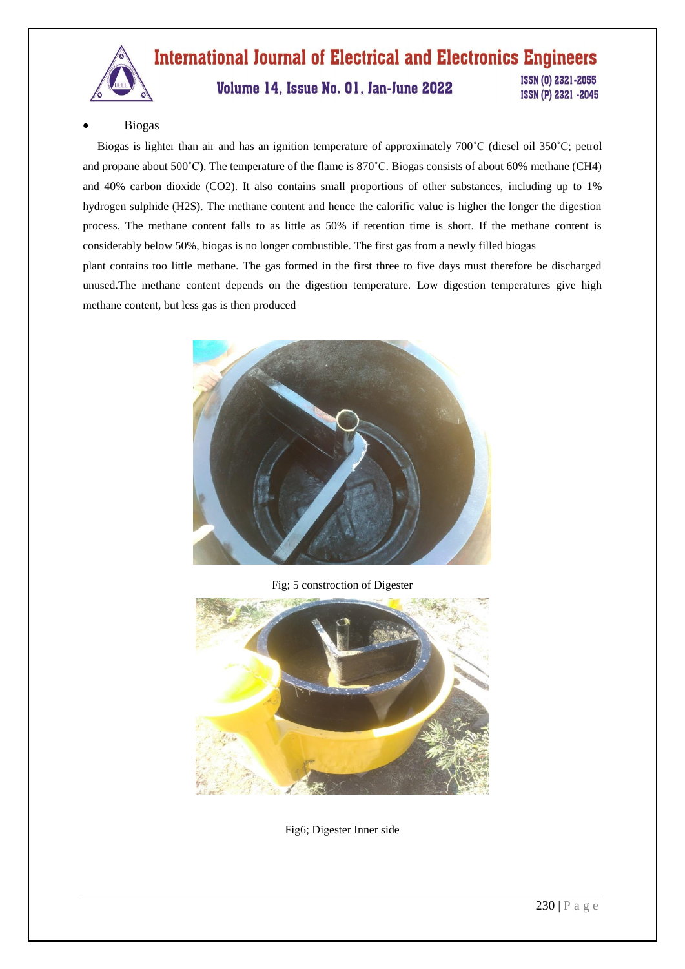

## **International Journal of Electrical and Electronics Engineers** ISSN (0) 2321-2055

## Volume 14, Issue No. 01, Jan-June 2022

ISSN (P) 2321 -2045

### Biogas

 Biogas is lighter than air and has an ignition temperature of approximately 700˚C (diesel oil 350˚C; petrol and propane about 500˚C). The temperature of the flame is 870˚C. Biogas consists of about 60% methane (CH4) and 40% carbon dioxide (CO2). It also contains small proportions of other substances, including up to 1% hydrogen sulphide (H2S). The methane content and hence the calorific value is higher the longer the digestion process. The methane content falls to as little as 50% if retention time is short. If the methane content is considerably below 50%, biogas is no longer combustible. The first gas from a newly filled biogas plant contains too little methane. The gas formed in the first three to five days must therefore be discharged unused.The methane content depends on the digestion temperature. Low digestion temperatures give high

methane content, but less gas is then produced



Fig; 5 constroction of Digester



Fig6; Digester Inner side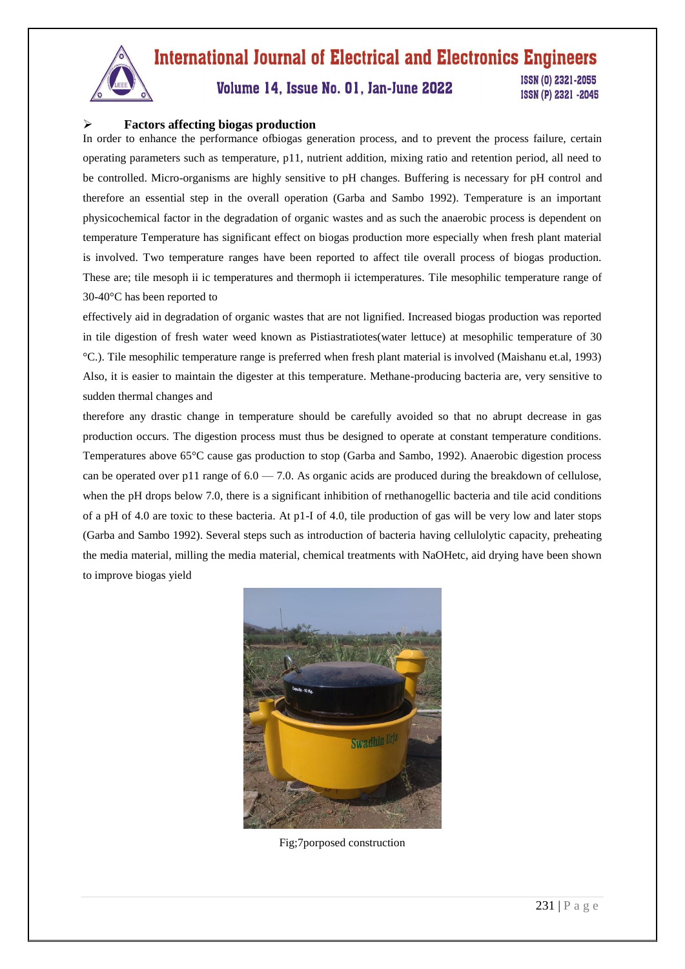

## Volume 14, Issue No. 01, Jan-June 2022

ISSN (0) 2321-2055 ISSN (P) 2321 -2045

## **Factors affecting biogas production**

In order to enhance the performance ofbiogas generation process, and to prevent the process failure, certain operating parameters such as temperature, p11, nutrient addition, mixing ratio and retention period, all need to be controlled. Micro-organisms are highly sensitive to pH changes. Buffering is necessary for pH control and therefore an essential step in the overall operation (Garba and Sambo 1992). Temperature is an important physicochemical factor in the degradation of organic wastes and as such the anaerobic process is dependent on temperature Temperature has significant effect on biogas production more especially when fresh plant material is involved. Two temperature ranges have been reported to affect tile overall process of biogas production. These are; tile mesoph ii ic temperatures and thermoph ii ictemperatures. Tile mesophilic temperature range of 30-40°C has been reported to

effectively aid in degradation of organic wastes that are not lignified. Increased biogas production was reported in tile digestion of fresh water weed known as Pistiastratiotes(water lettuce) at mesophilic temperature of 30 °C.). Tile mesophilic temperature range is preferred when fresh plant material is involved (Maishanu et.al, 1993) Also, it is easier to maintain the digester at this temperature. Methane-producing bacteria are, very sensitive to sudden thermal changes and

therefore any drastic change in temperature should be carefully avoided so that no abrupt decrease in gas production occurs. The digestion process must thus be designed to operate at constant temperature conditions. Temperatures above 65°C cause gas production to stop (Garba and Sambo, 1992). Anaerobic digestion process can be operated over p11 range of  $6.0 - 7.0$ . As organic acids are produced during the breakdown of cellulose, when the pH drops below 7.0, there is a significant inhibition of rnethanogellic bacteria and tile acid conditions of a pH of 4.0 are toxic to these bacteria. At p1-I of 4.0, tile production of gas will be very low and later stops (Garba and Sambo 1992). Several steps such as introduction of bacteria having cellulolytic capacity, preheating the media material, milling the media material, chemical treatments with NaOHetc, aid drying have been shown to improve biogas yield



Fig;7porposed construction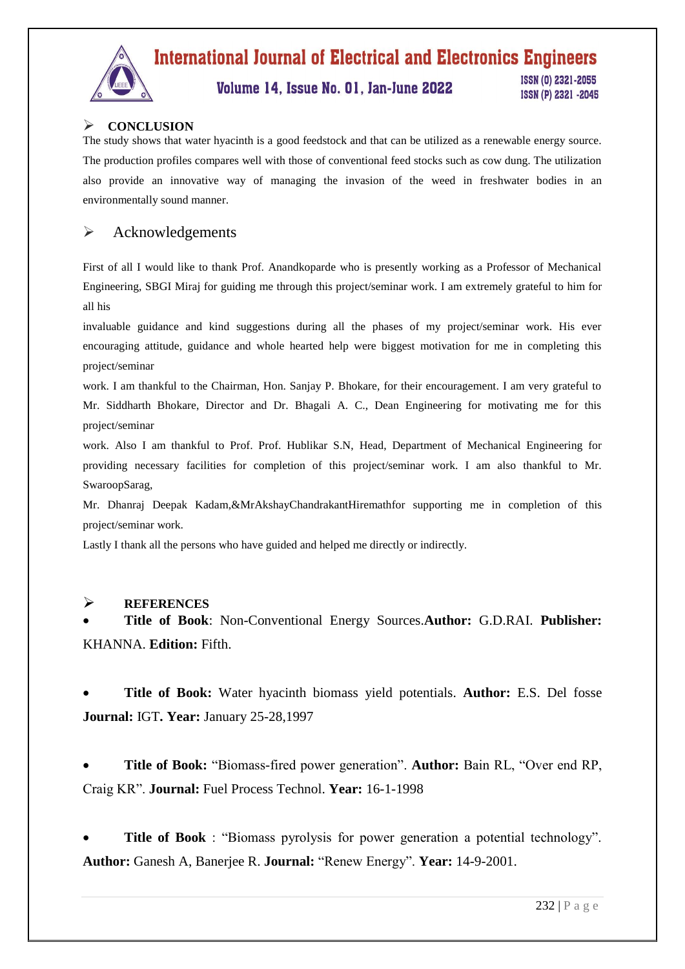

## Volume 14, Issue No. 01, Jan-June 2022

ISSN (0) 2321-2055 ISSN (P) 2321 -2045

## **CONCLUSION**

The study shows that water hyacinth is a good feedstock and that can be utilized as a renewable energy source. The production profiles compares well with those of conventional feed stocks such as cow dung. The utilization also provide an innovative way of managing the invasion of the weed in freshwater bodies in an environmentally sound manner.

## $\triangleright$  Acknowledgements

First of all I would like to thank Prof. Anandkoparde who is presently working as a Professor of Mechanical Engineering, SBGI Miraj for guiding me through this project/seminar work. I am extremely grateful to him for all his

invaluable guidance and kind suggestions during all the phases of my project/seminar work. His ever encouraging attitude, guidance and whole hearted help were biggest motivation for me in completing this project/seminar

work. I am thankful to the Chairman, Hon. Sanjay P. Bhokare, for their encouragement. I am very grateful to Mr. Siddharth Bhokare, Director and Dr. Bhagali A. C., Dean Engineering for motivating me for this project/seminar

work. Also I am thankful to Prof. Prof. Hublikar S.N, Head, Department of Mechanical Engineering for providing necessary facilities for completion of this project/seminar work. I am also thankful to Mr. SwaroopSarag,

Mr. Dhanraj Deepak Kadam,&MrAkshayChandrakantHiremathfor supporting me in completion of this project/seminar work.

Lastly I thank all the persons who have guided and helped me directly or indirectly.

### **REFERENCES**

 **Title of Book**: Non-Conventional Energy Sources.**Author:** G.D.RAI. **Publisher:**  KHANNA. **Edition:** Fifth.

 **Title of Book:** Water hyacinth biomass yield potentials. **Author:** E.S. Del fosse **Journal:** IGT**. Year:** January 25-28,1997

 **Title of Book:** "Biomass-fired power generation". **Author:** Bain RL, "Over end RP, Craig KR". **Journal:** Fuel Process Technol. **Year:** 16-1-1998

 **Title of Book** : "Biomass pyrolysis for power generation a potential technology". **Author:** Ganesh A, Banerjee R. **Journal:** "Renew Energy". **Year:** 14-9-2001.